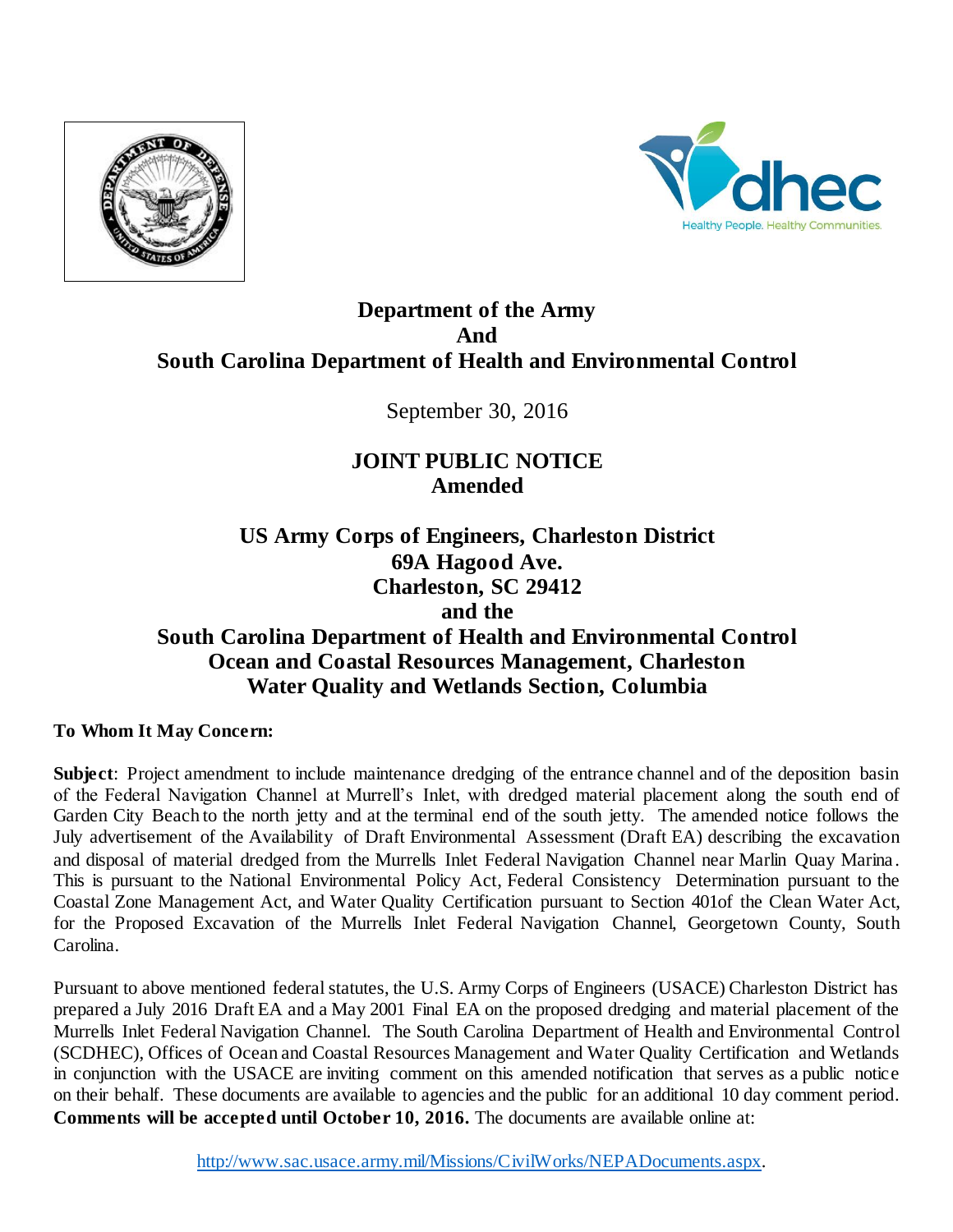



## **Department of the Army And South Carolina Department of Health and Environmental Control**

September 30, 2016

# **JOINT PUBLIC NOTICE Amended**

**US Army Corps of Engineers, Charleston District 69A Hagood Ave. Charleston, SC 29412 and the South Carolina Department of Health and Environmental Control Ocean and Coastal Resources Management, Charleston Water Quality and Wetlands Section, Columbia**

**To Whom It May Concern:**

**Subject**: Project amendment to include maintenance dredging of the entrance channel and of the deposition basin of the Federal Navigation Channel at Murrell's Inlet, with dredged material placement along the south end of Garden City Beach to the north jetty and at the terminal end of the south jetty. The amended notice follows the July advertisement of the Availability of Draft Environmental Assessment (Draft EA) describing the excavation and disposal of material dredged from the Murrells Inlet Federal Navigation Channel near Marlin Quay Marina. This is pursuant to the National Environmental Policy Act, Federal Consistency Determination pursuant to the Coastal Zone Management Act, and Water Quality Certification pursuant to Section 401of the Clean Water Act, for the Proposed Excavation of the Murrells Inlet Federal Navigation Channel, Georgetown County, South Carolina.

Pursuant to above mentioned federal statutes, the U.S. Army Corps of Engineers (USACE) Charleston District has prepared a July 2016 Draft EA and a May 2001 Final EA on the proposed dredging and material placement of the Murrells Inlet Federal Navigation Channel. The South Carolina Department of Health and Environmental Control (SCDHEC), Offices of Ocean and Coastal Resources Management and Water Quality Certification and Wetlands in conjunction with the USACE are inviting comment on this amended notification that serves as a public notice on their behalf. These documents are available to agencies and the public for an additional 10 day comment period. **Comments will be accepted until October 10, 2016.** The documents are available online at: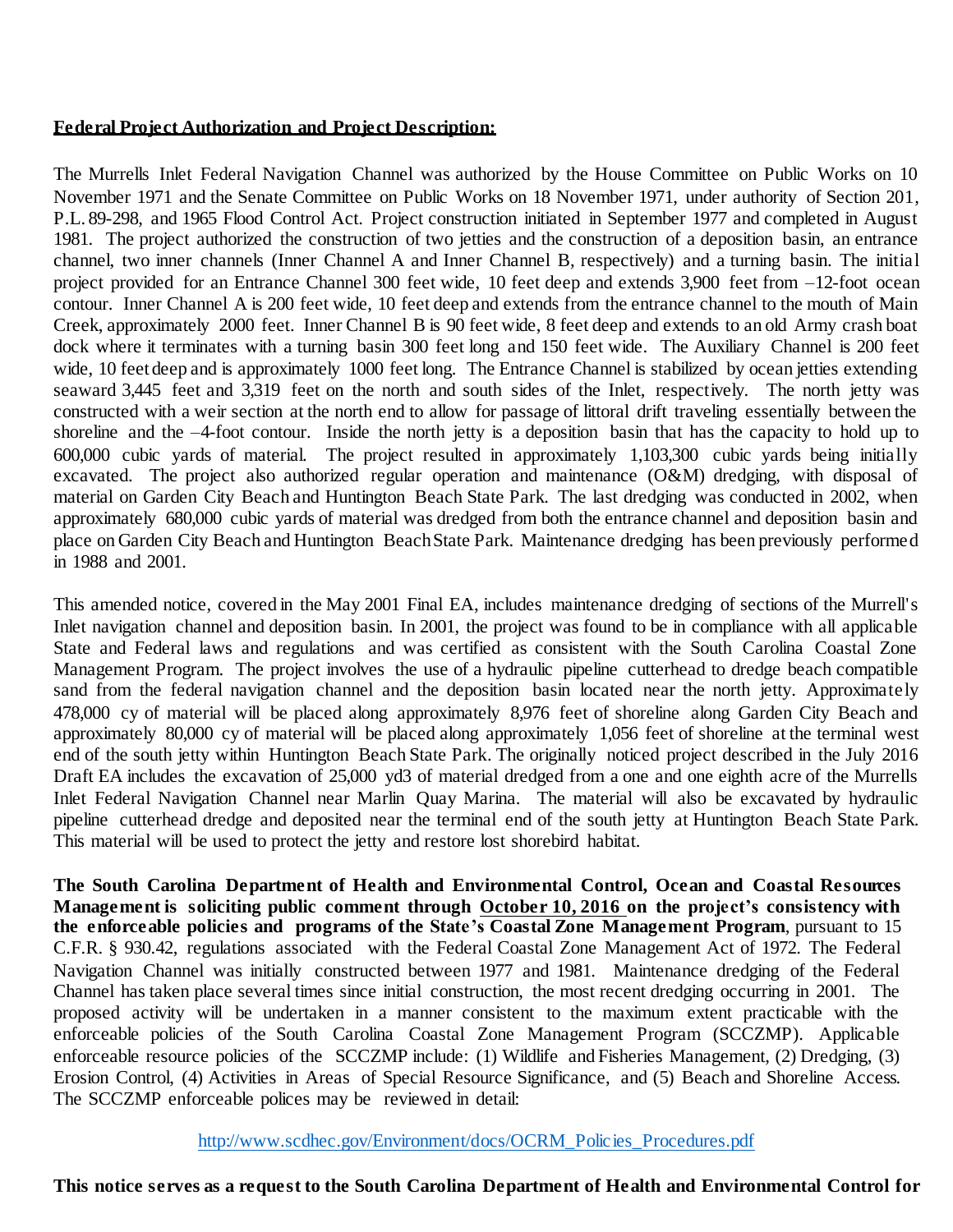#### **Federal Project Authorization and Project Description:**

The Murrells Inlet Federal Navigation Channel was authorized by the House Committee on Public Works on 10 November 1971 and the Senate Committee on Public Works on 18 November 1971, under authority of Section 201, P.L. 89-298, and 1965 Flood Control Act. Project construction initiated in September 1977 and completed in August 1981. The project authorized the construction of two jetties and the construction of a deposition basin, an entrance channel, two inner channels (Inner Channel A and Inner Channel B, respectively) and a turning basin. The initial project provided for an Entrance Channel 300 feet wide, 10 feet deep and extends 3,900 feet from –12-foot ocean contour. Inner Channel A is 200 feet wide, 10 feet deep and extends from the entrance channel to the mouth of Main Creek, approximately 2000 feet. Inner Channel B is 90 feet wide, 8 feet deep and extends to an old Army crash boat dock where it terminates with a turning basin 300 feet long and 150 feet wide. The Auxiliary Channel is 200 feet wide, 10 feet deep and is approximately 1000 feet long. The Entrance Channel is stabilized by ocean jetties extending seaward 3,445 feet and 3,319 feet on the north and south sides of the Inlet, respectively. The north jetty was constructed with a weir section at the north end to allow for passage of littoral drift traveling essentially between the shoreline and the –4-foot contour. Inside the north jetty is a deposition basin that has the capacity to hold up to 600,000 cubic yards of material. The project resulted in approximately 1,103,300 cubic yards being initially excavated. The project also authorized regular operation and maintenance (O&M) dredging, with disposal of material on Garden City Beach and Huntington Beach State Park. The last dredging was conducted in 2002, when approximately 680,000 cubic yards of material was dredged from both the entrance channel and deposition basin and place on Garden City Beach and Huntington Beach State Park. Maintenance dredging has been previously performed in 1988 and 2001.

This amended notice, covered in the May 2001 Final EA, includes maintenance dredging of sections of the Murrell's Inlet navigation channel and deposition basin. In 2001, the project was found to be in compliance with all applicable State and Federal laws and regulations and was certified as consistent with the South Carolina Coastal Zone Management Program. The project involves the use of a hydraulic pipeline cutterhead to dredge beach compatible sand from the federal navigation channel and the deposition basin located near the north jetty. Approximately 478,000 cy of material will be placed along approximately 8,976 feet of shoreline along Garden City Beach and approximately 80,000 cy of material will be placed along approximately 1,056 feet of shoreline at the terminal west end of the south jetty within Huntington Beach State Park. The originally noticed project described in the July 2016 Draft EA includes the excavation of 25,000 yd3 of material dredged from a one and one eighth acre of the Murrells Inlet Federal Navigation Channel near Marlin Quay Marina. The material will also be excavated by hydraulic pipeline cutterhead dredge and deposited near the terminal end of the south jetty at Huntington Beach State Park. This material will be used to protect the jetty and restore lost shorebird habitat.

**The South Carolina Department of Health and Environmental Control, Ocean and Coastal Resources Management is soliciting public comment through October 10, 2016 on the project's consistency with the enforceable policies and programs of the State 's Coastal Zone Management Program**, pursuant to 15 C.F.R. § 930.42, regulations associated with the Federal Coastal Zone Management Act of 1972. The Federal Navigation Channel was initially constructed between 1977 and 1981. Maintenance dredging of the Federal Channel has taken place several times since initial construction, the most recent dredging occurring in 2001. The proposed activity will be undertaken in a manner consistent to the maximum extent practicable with the enforceable policies of the South Carolina Coastal Zone Management Program (SCCZMP). Applicable enforceable resource policies of the SCCZMP include: (1) Wildlife and Fisheries Management, (2) Dredging, (3) Erosion Control, (4) Activities in Areas of Special Resource Significance, and (5) Beach and Shoreline Access. The SCCZMP enforceable polices may be reviewed in detail:

[http://www.scdhec.gov/Environment/docs/OCRM\\_Policies\\_Procedures.pdf](http://www.scdhec.gov/Environment/docs/OCRM_Policies_Procedures.pdf)